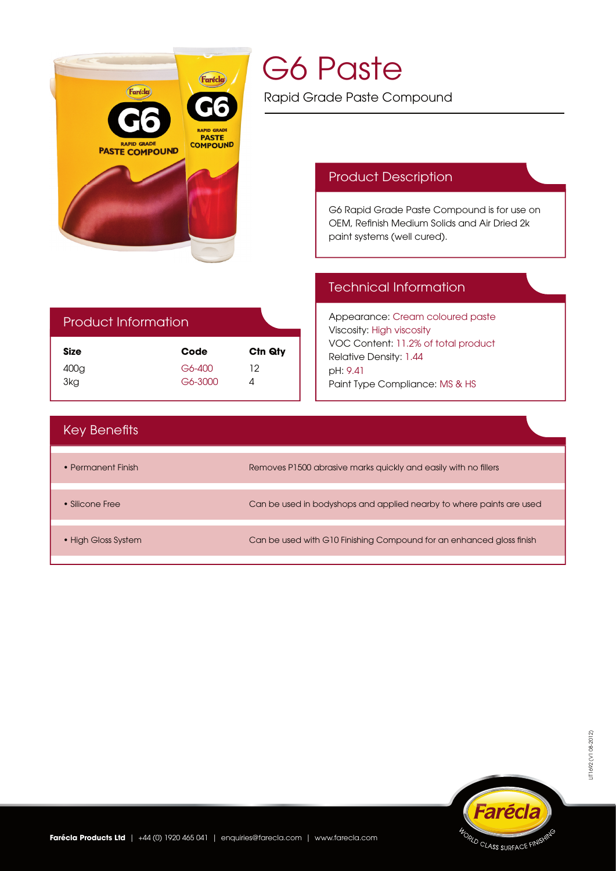

# G6 Paste

Rapid Grade Paste Compound

# Product Description

G6 Rapid Grade Paste Compound is for use on OEM, Refinish Medium Solids and Air Dried 2k paint systems (well cured).

# Technical Information

Appearance: Cream coloured paste Viscosity: High viscosity VOC Content: 11.2% of total product Relative Density: 1.44 pH: 9.41 Paint Type Compliance: MS & HS

# Product Information

| <b>Size</b> | Code    | C <sub>tn</sub> Q <sub>ty</sub> |
|-------------|---------|---------------------------------|
| 400g        | G6-400  | 12                              |
| 3kg         | G6-3000 | 4                               |

# **Key Benefits**

| • Permanent Finish  | Removes P1500 abrasive marks quickly and easily with no fillers      |
|---------------------|----------------------------------------------------------------------|
|                     |                                                                      |
| • Silicone Free     | Can be used in bodyshops and applied nearby to where paints are used |
|                     |                                                                      |
| • High Gloss System | Can be used with G10 Finishing Compound for an enhanced gloss finish |